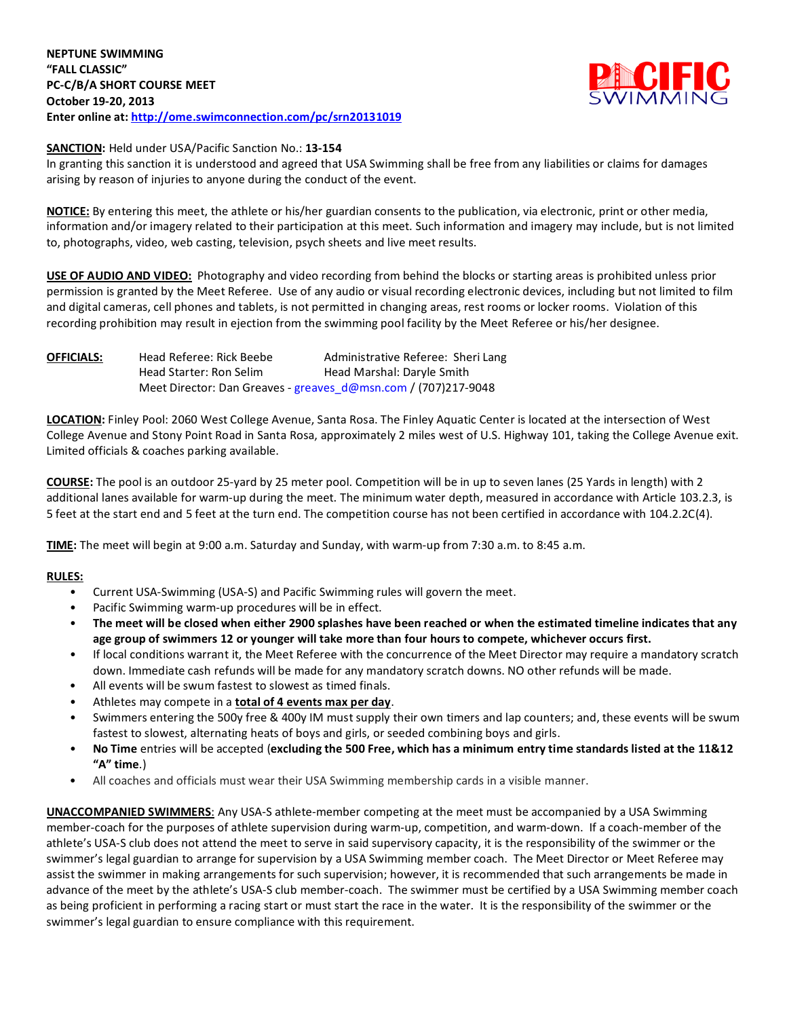

## **SANCTION:** Held under USA/Pacific Sanction No.: **13-154**

In granting this sanction it is understood and agreed that USA Swimming shall be free from any liabilities or claims for damages arising by reason of injuries to anyone during the conduct of the event.

**NOTICE:** By entering this meet, the athlete or his/her guardian consents to the publication, via electronic, print or other media, information and/or imagery related to their participation at this meet. Such information and imagery may include, but is not limited to, photographs, video, web casting, television, psych sheets and live meet results.

**USE OF AUDIO AND VIDEO:** Photography and video recording from behind the blocks or starting areas is prohibited unless prior permission is granted by the Meet Referee. Use of any audio or visual recording electronic devices, including but not limited to film and digital cameras, cell phones and tablets, is not permitted in changing areas, rest rooms or locker rooms. Violation of this recording prohibition may result in ejection from the swimming pool facility by the Meet Referee or his/her designee.

| <b>OFFICIALS:</b> | Head Referee: Rick Beebe                                       | Administrative Referee: Sheri Lang |
|-------------------|----------------------------------------------------------------|------------------------------------|
|                   | Head Starter: Ron Selim                                        | Head Marshal: Daryle Smith         |
|                   | Meet Director: Dan Greaves - greaves d@msn.com / (707)217-9048 |                                    |

**LOCATION:** Finley Pool: 2060 West College Avenue, Santa Rosa. The Finley Aquatic Center is located at the intersection of West College Avenue and Stony Point Road in Santa Rosa, approximately 2 miles west of U.S. Highway 101, taking the College Avenue exit. Limited officials & coaches parking available.

**COURSE:** The pool is an outdoor 25-yard by 25 meter pool. Competition will be in up to seven lanes (25 Yards in length) with 2 additional lanes available for warm-up during the meet. The minimum water depth, measured in accordance with Article 103.2.3, is 5 feet at the start end and 5 feet at the turn end. The competition course has not been certified in accordance with 104.2.2C(4).

**TIME:** The meet will begin at 9:00 a.m. Saturday and Sunday, with warm-up from 7:30 a.m. to 8:45 a.m.

# **RULES:**

- Current USA-Swimming (USA-S) and Pacific Swimming rules will govern the meet.
- Pacific Swimming warm-up procedures will be in effect.
- **The meet will be closed when either 2900 splashes have been reached or when the estimated timeline indicates that any age group of swimmers 12 or younger will take more than four hours to compete, whichever occurs first.**
- If local conditions warrant it, the Meet Referee with the concurrence of the Meet Director may require a mandatory scratch down. Immediate cash refunds will be made for any mandatory scratch downs. NO other refunds will be made.
- All events will be swum fastest to slowest as timed finals.
- Athletes may compete in a **total of 4 events max per day**.
- Swimmers entering the 500y free & 400y IM must supply their own timers and lap counters; and, these events will be swum fastest to slowest, alternating heats of boys and girls, or seeded combining boys and girls.
- **No Time** entries will be accepted (**excluding the 500 Free, which has a minimum entry time standards listed at the 11&12 "A" time**.)
- All coaches and officials must wear their USA Swimming membership cards in a visible manner.

**UNACCOMPANIED SWIMMERS**: Any USA-S athlete-member competing at the meet must be accompanied by a USA Swimming member-coach for the purposes of athlete supervision during warm-up, competition, and warm-down. If a coach-member of the athlete's USA-S club does not attend the meet to serve in said supervisory capacity, it is the responsibility of the swimmer or the swimmer's legal guardian to arrange for supervision by a USA Swimming member coach. The Meet Director or Meet Referee may assist the swimmer in making arrangements for such supervision; however, it is recommended that such arrangements be made in advance of the meet by the athlete's USA-S club member-coach. The swimmer must be certified by a USA Swimming member coach as being proficient in performing a racing start or must start the race in the water. It is the responsibility of the swimmer or the swimmer's legal guardian to ensure compliance with this requirement.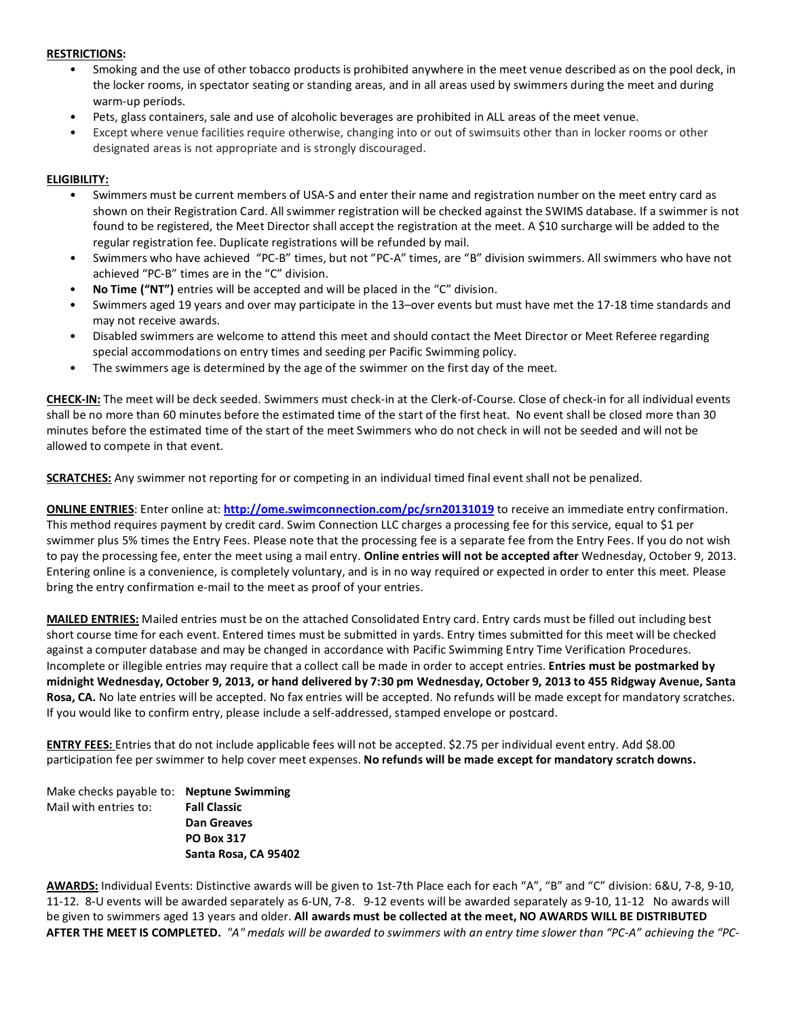### **RESTRICTIONS:**

- Smoking and the use of other tobacco products is prohibited anywhere in the meet venue described as on the pool deck, in the locker rooms, in spectator seating or standing areas, and in all areas used by swimmers during the meet and during warm-up periods.
- Pets, glass containers, sale and use of alcoholic beverages are prohibited in ALL areas of the meet venue.
- Except where venue facilities require otherwise, changing into or out of swimsuits other than in locker rooms or other designated areas is not appropriate and is strongly discouraged.

## **ELIGIBILITY:**

- Swimmers must be current members of USA-S and enter their name and registration number on the meet entry card as shown on their Registration Card. All swimmer registration will be checked against the SWIMS database. If a swimmer is not found to be registered, the Meet Director shall accept the registration at the meet. A \$10 surcharge will be added to the regular registration fee. Duplicate registrations will be refunded by mail.
- Swimmers who have achieved "PC-B" times, but not "PC-A" times, are "B" division swimmers. All swimmers who have not achieved "PC-B" times are in the "C" division.
- **No Time ("NT")** entries will be accepted and will be placed in the "C" division.
- Swimmers aged 19 years and over may participate in the 13–over events but must have met the 17-18 time standards and may not receive awards.
- Disabled swimmers are welcome to attend this meet and should contact the Meet Director or Meet Referee regarding special accommodations on entry times and seeding per Pacific Swimming policy.
- The swimmers age is determined by the age of the swimmer on the first day of the meet.

**CHECK-IN:** The meet will be deck seeded. Swimmers must check-in at the Clerk-of-Course. Close of check-in for all individual events shall be no more than 60 minutes before the estimated time of the start of the first heat. No event shall be closed more than 30 minutes before the estimated time of the start of the meet Swimmers who do not check in will not be seeded and will not be allowed to compete in that event.

**SCRATCHES:** Any swimmer not reporting for or competing in an individual timed final event shall not be penalized.

**ONLINE ENTRIES**: Enter online at: **<http://ome.swimconnection.com/pc/srn20131019>** to receive an immediate entry confirmation. This method requires payment by credit card. Swim Connection LLC charges a processing fee for this service, equal to \$1 per swimmer plus 5% times the Entry Fees. Please note that the processing fee is a separate fee from the Entry Fees. If you do not wish to pay the processing fee, enter the meet using a mail entry. **Online entries will not be accepted after** Wednesday, October 9, 2013. Entering online is a convenience, is completely voluntary, and is in no way required or expected in order to enter this meet. Please bring the entry confirmation e-mail to the meet as proof of your entries.

**MAILED ENTRIES:** Mailed entries must be on the attached Consolidated Entry card. Entry cards must be filled out including best short course time for each event. Entered times must be submitted in yards. Entry times submitted for this meet will be checked against a computer database and may be changed in accordance with Pacific Swimming Entry Time Verification Procedures. Incomplete or illegible entries may require that a collect call be made in order to accept entries. **Entries must be postmarked by midnight Wednesday, October 9, 2013, or hand delivered by 7:30 pm Wednesday, October 9, 2013 to 455 Ridgway Avenue, Santa Rosa, CA.** No late entries will be accepted. No fax entries will be accepted. No refunds will be made except for mandatory scratches. If you would like to confirm entry, please include a self-addressed, stamped envelope or postcard.

**ENTRY FEES:** Entries that do not include applicable fees will not be accepted. \$2.75 per individual event entry. Add \$8.00 participation fee per swimmer to help cover meet expenses. **No refunds will be made except for mandatory scratch downs.** 

Make checks payable to: **Neptune Swimming** Mail with entries to: **Fall Classic Dan Greaves PO Box 317 Santa Rosa, CA 95402**

**AWARDS:** Individual Events: Distinctive awards will be given to 1st-7th Place each for each "A", "B" and "C" division: 6&U, 7-8, 9-10, 11-12. 8-U events will be awarded separately as 6-UN, 7-8. 9-12 events will be awarded separately as 9-10, 11-12 No awards will be given to swimmers aged 13 years and older. **All awards must be collected at the meet, NO AWARDS WILL BE DISTRIBUTED AFTER THE MEET IS COMPLETED.** *"A" medals will be awarded to swimmers with an entry time slower than "PC-A" achieving the "PC-*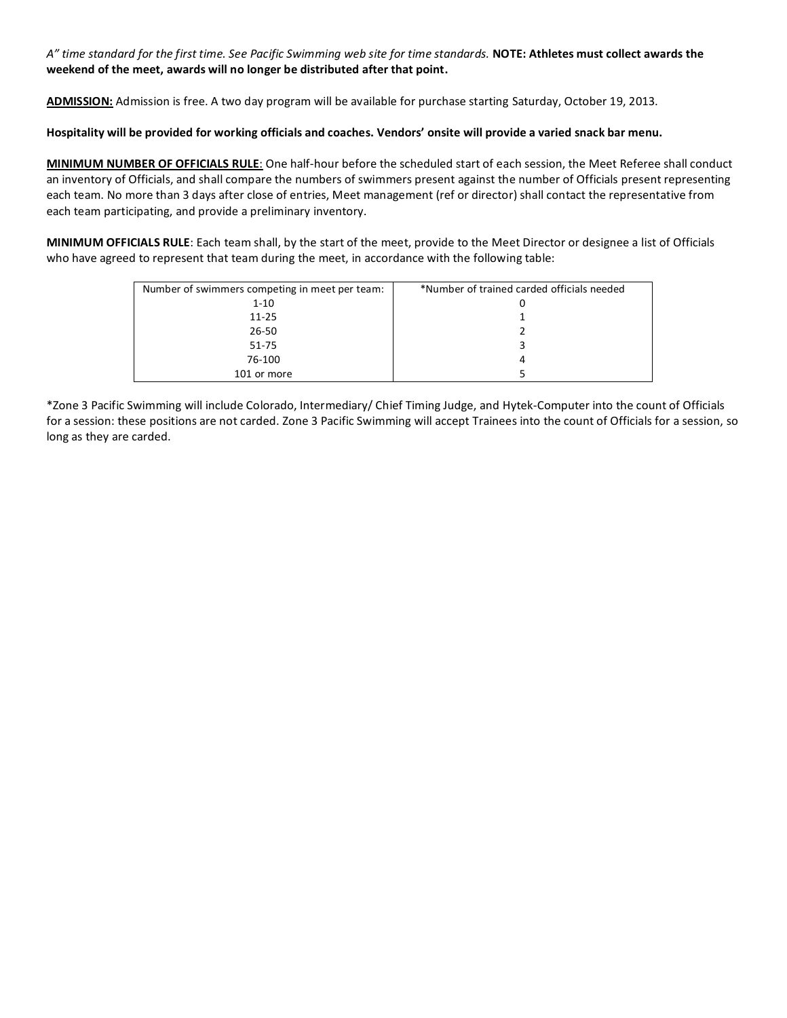*A" time standard for the first time. See Pacific Swimming web site for time standards.* **NOTE: Athletes must collect awards the weekend of the meet, awards will no longer be distributed after that point.**

**ADMISSION:** Admission is free. A two day program will be available for purchase starting Saturday, October 19, 2013.

#### **Hospitality will be provided for working officials and coaches. Vendors' onsite will provide a varied snack bar menu.**

**MINIMUM NUMBER OF OFFICIALS RULE**: One half-hour before the scheduled start of each session, the Meet Referee shall conduct an inventory of Officials, and shall compare the numbers of swimmers present against the number of Officials present representing each team. No more than 3 days after close of entries, Meet management (ref or director) shall contact the representative from each team participating, and provide a preliminary inventory.

**MINIMUM OFFICIALS RULE**: Each team shall, by the start of the meet, provide to the Meet Director or designee a list of Officials who have agreed to represent that team during the meet, in accordance with the following table:

| Number of swimmers competing in meet per team: | *Number of trained carded officials needed |
|------------------------------------------------|--------------------------------------------|
| $1 - 10$                                       | U                                          |
| $11 - 25$                                      |                                            |
| $26 - 50$                                      |                                            |
| $51 - 75$                                      |                                            |
| 76-100                                         | 4                                          |
| 101 or more                                    |                                            |

\*Zone 3 Pacific Swimming will include Colorado, Intermediary/ Chief Timing Judge, and Hytek-Computer into the count of Officials for a session: these positions are not carded. Zone 3 Pacific Swimming will accept Trainees into the count of Officials for a session, so long as they are carded.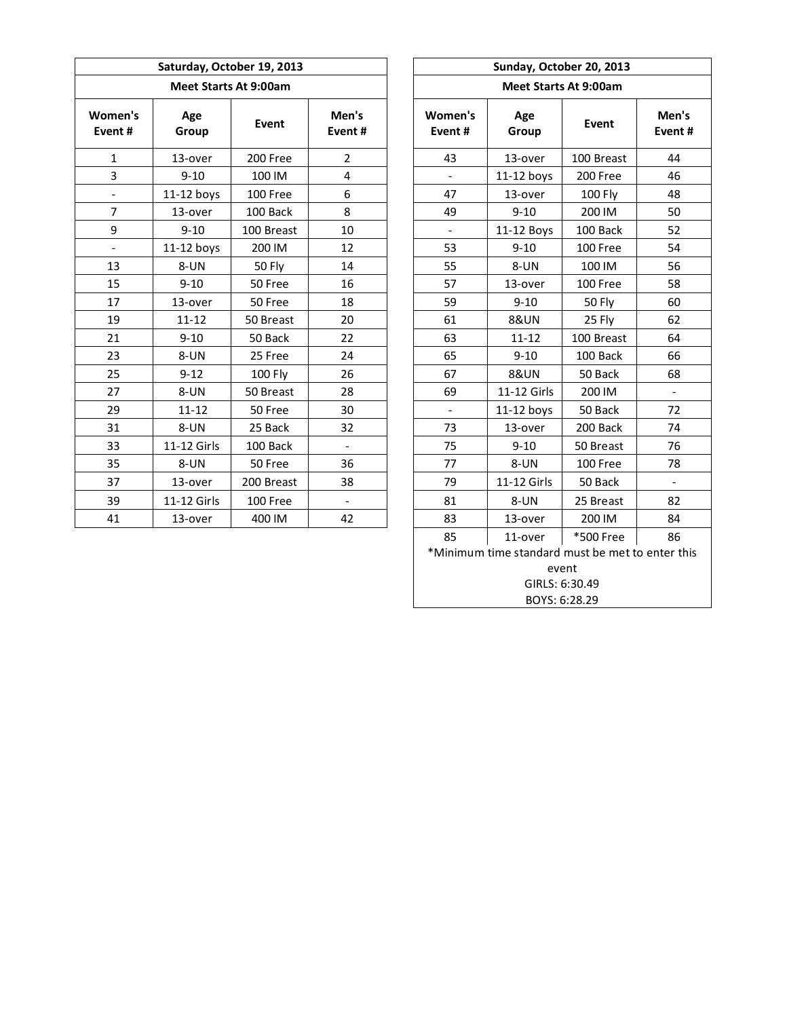| Saturday, October 19, 2013<br><b>Meet Starts At 9:00am</b> |              |            |                          |  | Sunday, October 20, 2013     |                 |            |             |  |  |  |
|------------------------------------------------------------|--------------|------------|--------------------------|--|------------------------------|-----------------|------------|-------------|--|--|--|
|                                                            |              |            |                          |  | <b>Meet Starts At 9:00am</b> |                 |            |             |  |  |  |
| Women's<br>Event#                                          | Age<br>Group | Event      | Men's<br>Event#          |  | Women's<br>Event#            | Age<br>Group    | Event      | Mer<br>Even |  |  |  |
| $\mathbf{1}$                                               | 13-over      | 200 Free   | $\overline{2}$           |  | 43                           | 13-over         | 100 Breast | 44          |  |  |  |
| 3                                                          | $9 - 10$     | 100 IM     | 4                        |  |                              | $11-12$ boys    | 200 Free   | 46          |  |  |  |
| $\overline{\phantom{0}}$                                   | $11-12$ boys | 100 Free   | 6                        |  | 47                           | 13-over         | 100 Fly    | 48          |  |  |  |
| $\overline{7}$                                             | 13-over      | 100 Back   | 8                        |  | 49                           | $9 - 10$        | 200 IM     | 50          |  |  |  |
| 9                                                          | $9 - 10$     | 100 Breast | 10                       |  | $\blacksquare$               | 11-12 Boys      | 100 Back   | 52          |  |  |  |
| $\overline{\phantom{a}}$                                   | $11-12$ boys | 200 IM     | 12                       |  | 53                           | $9 - 10$        | 100 Free   | 54          |  |  |  |
| 13                                                         | 8-UN         | 50 Fly     | 14                       |  | 55                           | 8-UN            | 100 IM     | 56          |  |  |  |
| 15                                                         | $9 - 10$     | 50 Free    | 16                       |  | 57                           | 13-over         | 100 Free   | 58          |  |  |  |
| 17                                                         | 13-over      | 50 Free    | 18                       |  | 59                           | $9 - 10$        | 50 Fly     | 60          |  |  |  |
| 19                                                         | $11 - 12$    | 50 Breast  | 20                       |  | 61                           | <b>8&amp;UN</b> | 25 Fly     | 62          |  |  |  |
| 21                                                         | $9 - 10$     | 50 Back    | 22                       |  | 63                           | $11 - 12$       | 100 Breast | 64          |  |  |  |
| 23                                                         | 8-UN         | 25 Free    | 24                       |  | 65                           | $9 - 10$        | 100 Back   | 66          |  |  |  |
| 25                                                         | $9 - 12$     | 100 Fly    | 26                       |  | 67                           | <b>8&amp;UN</b> | 50 Back    | 68          |  |  |  |
| 27                                                         | 8-UN         | 50 Breast  | 28                       |  | 69                           | 11-12 Girls     | 200 IM     |             |  |  |  |
| 29                                                         | $11 - 12$    | 50 Free    | 30                       |  |                              | $11-12$ boys    | 50 Back    | 72          |  |  |  |
| 31                                                         | 8-UN         | 25 Back    | 32                       |  | 73                           | 13-over         | 200 Back   | 74          |  |  |  |
| 33                                                         | 11-12 Girls  | 100 Back   |                          |  | 75                           | $9 - 10$        | 50 Breast  | 76          |  |  |  |
| 35                                                         | 8-UN         | 50 Free    | 36                       |  | 77                           | 8-UN            | 100 Free   | 78          |  |  |  |
| 37                                                         | 13-over      | 200 Breast | 38                       |  | 79                           | 11-12 Girls     | 50 Back    |             |  |  |  |
| 39                                                         | 11-12 Girls  | 100 Free   | $\overline{\phantom{0}}$ |  | 81                           | 8-UN            | 25 Breast  | 82          |  |  |  |
| 41                                                         | 13-over      | 400 IM     | 42                       |  | 83                           | 13-over         | 200 IM     | 84          |  |  |  |

| Sunday, October 20, 2013                                  |                 |                 |                          |  |  |  |  |  |  |
|-----------------------------------------------------------|-----------------|-----------------|--------------------------|--|--|--|--|--|--|
| <b>Meet Starts At 9:00am</b>                              |                 |                 |                          |  |  |  |  |  |  |
| Women's<br>Event#                                         | Age<br>Group    | Event           | Men's<br>Event#          |  |  |  |  |  |  |
| 43                                                        | 13-over         | 100 Breast      | 44                       |  |  |  |  |  |  |
| $\overline{\phantom{a}}$                                  | $11-12$ boys    | 200 Free        | 46                       |  |  |  |  |  |  |
| 47                                                        | 13-over         | 48              |                          |  |  |  |  |  |  |
| 49                                                        | $9 - 10$        | 200 IM          | 50                       |  |  |  |  |  |  |
| $\overline{\phantom{a}}$                                  | 11-12 Boys      | 100 Back        | 52                       |  |  |  |  |  |  |
| 53                                                        | $9 - 10$        | 100 Free        | 54                       |  |  |  |  |  |  |
| 55                                                        | 8-UN            | 100 IM          | 56                       |  |  |  |  |  |  |
| 57                                                        | 13-over         | 100 Free        | 58                       |  |  |  |  |  |  |
| 59                                                        | $9 - 10$        | 50 Fly          | 60                       |  |  |  |  |  |  |
| 61                                                        | <b>8&amp;UN</b> | 25 Fly          | 62                       |  |  |  |  |  |  |
| 63                                                        | $11 - 12$       | 100 Breast      | 64                       |  |  |  |  |  |  |
| 65                                                        | $9 - 10$        | 100 Back        | 66                       |  |  |  |  |  |  |
| 67                                                        | <b>8&amp;UN</b> | 50 Back         | 68                       |  |  |  |  |  |  |
| 69                                                        | 11-12 Girls     | 200 IM          | $\overline{\phantom{a}}$ |  |  |  |  |  |  |
|                                                           | $11-12$ boys    | 50 Back         | 72                       |  |  |  |  |  |  |
| 73                                                        | 13-over         | 200 Back        | 74                       |  |  |  |  |  |  |
| 75                                                        | $9 - 10$        | 50 Breast       | 76                       |  |  |  |  |  |  |
| 77                                                        | 8-UN            | 100 Free        | 78                       |  |  |  |  |  |  |
| 79                                                        | 11-12 Girls     | 50 Back         | $\overline{\phantom{a}}$ |  |  |  |  |  |  |
| 81                                                        | 8-UN            | 25 Breast       | 82                       |  |  |  |  |  |  |
| 83                                                        | 13-over         | 200 IM          | 84                       |  |  |  |  |  |  |
| 85                                                        | 11-over         | *500 Free<br>86 |                          |  |  |  |  |  |  |
| *Minimum time standard must be met to enter this<br>event |                 |                 |                          |  |  |  |  |  |  |
| GIRLS: 6:30.49                                            |                 |                 |                          |  |  |  |  |  |  |
| BOYS: 6:28.29                                             |                 |                 |                          |  |  |  |  |  |  |